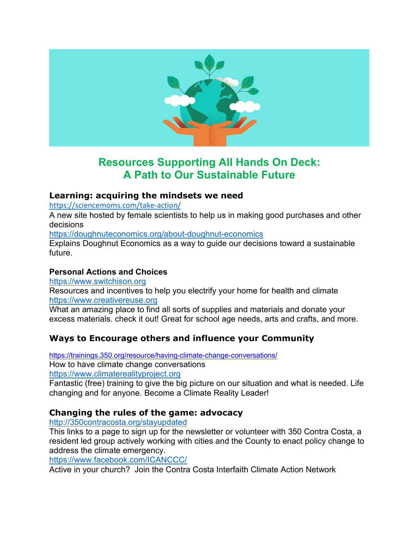

# **Resources Supporting All Hands On Deck: A Path to Our Sustainable Future**

### **Learning: acquiring the mindsets we need**

<https://sciencemoms.com/take-action/>

A new site hosted by female scientists to help us in making good purchases and other decisions

<https://doughnuteconomics.org/about-doughnut-economics>

Explains Doughnut Economics as a way to guide our decisions toward a sustainable future.

### **Personal Actions and Choices**

[https://www.switchison.org](https://www.switchison.org/)

Resources and incentives to help you electrify your home for health and climate [https://www.creativereuse.org](https://www.creativereuse.org/)

What an amazing place to find all sorts of supplies and materials and donate your excess materials. check it out! Great for school age needs, arts and crafts, and more.

# **Ways to Encourage others and influence your Community**

<https://trainings.350.org/resource/having-climate-change-conversations/> How to have climate change conversations [https://www.climaterealityproject.org](https://www.climaterealityproject.org/)

Fantastic (free) training to give the big picture on our situation and what is needed. Life changing and for anyone. Become a Climate Reality Leader!

## **Changing the rules of the game: advocacy**

#### <http://350contracosta.org/stayupdated>

This links to a page to sign up for the newsletter or volunteer with 350 Contra Costa, a resident led group actively working with cities and the County to enact policy change to address the climate emergency.

<https://www.facebook.com/ICANCCC/>

Active in your church? Join the Contra Costa Interfaith Climate Action Network